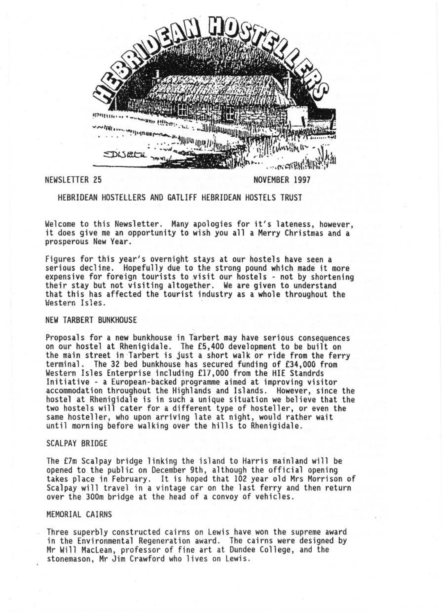

HEBRIDEAN HOSTELLERS AND GATLIFF HEBRIDEAN HOSTELS TRUST

Welcome to this Newsletter. Many apologies for it's lateness, however, it does give me an opportunity to wish you all a Merry Christmas and a prosperous New Year .

Figures for this year's overnight stays at our hostels have seen a serious decline. Hopefully due to the strong pound which made it more<br>expensive for foreign tourists to visit our hostels - not by shortening their stay but not visiting altogether. We are given to understand that this has affected the tourist industry as a whole throughout the Hestern Isles.

# NEW TARBERT BUNKHOUSE

Proposals for a new bunkhouse in Tarbert may have serious consequences on our hostel at Rhenigidale . The £5,400 development to be built on the main street in ·Tarbert is just a short walk or ride from the ferry terminal. The 32 bed bunkhouse has secured funding of £34,000 from Western Isles Enterprise including £17,000 from the HIE Standrds<br>Initiative - a European-backed programme aimed at improving visitor accommodation throughout the Highlands and Islands. However, since the hostel at Rhenigidale is in such a unique situation we believe that the two hostels will cater for a different type of hosteller, or even the same hosteller, who upon arriving late at night, would rather wait until morning before walking over the hills to Rhenigidale .

### SCALPAY BRIDGE

The £7m Scalpay bridge linking the island to Harris mainland will be takes place in February. It is hoped that 102 year old Mrs Morrison of Scalpay will travel in a vintage car on the last ferry and then return over the 300m bridge at the head of a convoy of vehicles .

### MEMORIAL CAIRNS

Three superbly constructed cairns on Lewis have won the supreme award in the Environmental Regeneration award. The cairns were designed by Mr Will MacLean, professor of fine art at Dundee College, and the stonemason, Mr Jim Crawford who lives on Lewis.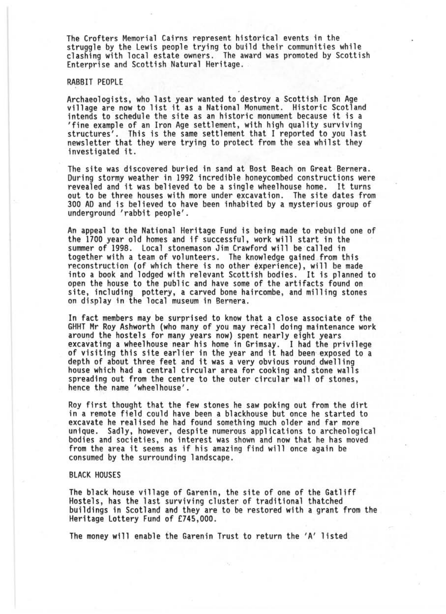The Crofters Memorial Cairns represent historical events in the struggle by the Lewis people trying to build their communities while clashing with local estate owners. The award was promoted by Scottish Enterprise and Scottish Natural Heritage .

# RABBIT PEOPLE

Archaeologists, who last year wanted to destroy a Scottish Iron Age village are now to list it as a National Monument . Historic Scotland intends to schedule the site as an historic monument because it is a structures'. This is the same settlement that I reported to you last newsletter that they were trying to protect from the sea whilst they investigated it.

The site was discovered buried in sand at Bost Beach on Great Bernera.<br>During stormy weather in 1992 incredible honeycombed constructions were<br>revealed and it was believed to be a single wheelhouse home. It turns revealed and it was believed to be a single wheelhouse home. out to be three houses with more under excavation. The site dates from 300 AD and is believed to have been inhabited by a mysterious group of underground 'rabbit people' .

An appeal to the National Heritage Fund is being made to rebuild one of the 1700 year old homes and if successful, work will start in the summer of 1998. Local stonemason Jim Crawford will be called in together with a team of volunteers. The knowledge gained from this reconstruction (of which there is no other experience), will be made into a book and lodged with relevant Scottish bodies. It is planned to open the house to the public and have some of the artifacts found on site, including pottery, a carved bone haircombe, and milling stones on display in the local museum in Bernera.

In fact members may be surprised to know that a close associate of the GHHT Mr Roy Ashworth (who many of you may recall doing maintenance work excavating a wheelhouse near his home in Grimsay. I had the privilege<br>of visiting this site earlier in the year and it had been exposed to a depth of about three feet and it was a very obvious round dwelling house which had a central circular area for cooking and stone walls spreading out from the centre to the outer circular wall of stones, hence the name 'wheelhouse'.

Roy first thought that the few stones he saw poking out from the dirt in a remote field could have been a b1ackhouse but once he started to excavate he realised he had found something much older and far more unique. Sadly, however, despite numerous applications to archeological bodies and societies, no interest was shown and now that he has moved from the area it seems as if his amazing find will once again be consumed by the surrounding landscape .

#### BLACK HOUSES

The black house village of Garenin, the site of one of the Gatliff Hostels, has the last surviving cluster of traditional thatched buildings in Scotland and they are to be restored with a grant from the Heritage Lottery Fund of £745,000 .

The money will enable the Garenin Trust to return the 'A' listed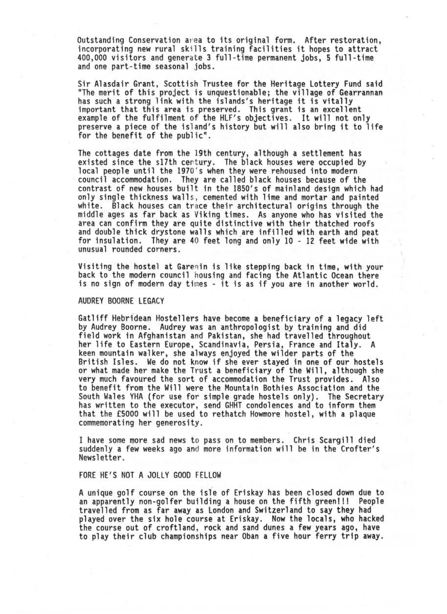Outstanding Conservation area to its original form. After restoration, incorporating new rural skills training facilities it hopes to attract 400,000 visitors and generate 3 full-time permanent jobs, S full-time and one part-time seasonal jobs.

Sir Alasdair Grant, Scottish Trustee for the Heritage Lottery Fund said "The merit of this project is unquestionable; the village of Gearrannan has such a strong link with the islands's heritage it is vitally important that this area is preserved. This grant is an excellent example of the fulfilment of the HLF's objectives. It will not only preserve a piece of the island's history but will also bring it to life for the benefit of the public" .

The cottages date from the 19th century, although a settlement has existed since the s17th century. The black houses were occupied by local people until the 1970's when they were rehoused into modern council accommodation . They are called black houses because of the contrast of new houses built in the 1850's of mainland design which had white. Black houses can trace their architectural origins through the middle ages as far back as Viking times. As anyone who has visited the area can confirm they are quite distinctive with their thatched roofs and double thick drystone walls which are infilled with earth and peat for insulation. They are 40 feet long and only 10 - 12 feet wide with unusual rounded corners.

Visiting the hostel at Garenin is like stepping back in time, with your back to the modern council housing and facing the Atlantic Ocean there is no sign of modern day times - it is as if you are in another world.

#### AUDREY BOORNE LEGACY

Gatliff Hebridean Hostellers have become a beneficiary of a legacy left by Audrey Boorne. Audrey was an anthropologist by training and did field work in Afghanistan and Pakistan, she had travelled throughout her life to Eastern Europe, Scand inavia, Persia, France and Italy. A keen mountain walker, she always enjoyed the wilder parts of the British Isles. We do not know if she ever stayed in one of our hostels or what made her make the Trust a beneficiary of the Will, although she very much favoured the sort of accommodation the Trust provides. Also to benefit from the Will were the Mountain Bothies Association and the<br>South Wales YHA (for use for simple grade hostels only). The Secretary has written to the executor, send GHHT condolences and to inform them that the £5000 will be used to rethatch Howmore hostel, with a plaque commemorating her generosity .

I have some more sad news to pass on to members. Chris Scargill died suddenly a few weeks ago and more information will be in the Crofter's Newsletter.

#### FORE HE'S NOT A JOLLY GOOD FELLOW

A unique golf course on the isfe of Eriskay has been closed down due to travelled from as far away as London and Switzerland to say they had played over the six hole course at Eriskay. Now the locals, who hacked the course out of croftland, rock and sand dunes a few years ago, have to play their club championships near Oban a five hour ferry trip away.